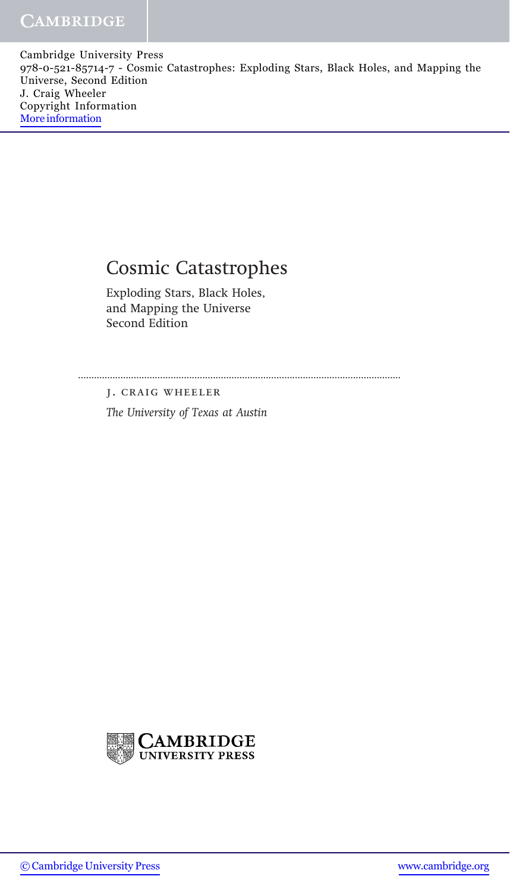Cambridge University Press 978-0-521-85714-7 - Cosmic Catastrophes: Exploding Stars, Black Holes, and Mapping the Universe, Second Edition J. Craig Wheeler Copyright Information [More information](http://www.cambridge.org/0521857147)

## Cosmic Catastrophes

Exploding Stars, Black Holes, and Mapping the Universe Second Edition

..........................................................................................................................

j. craig wheeler

The University of Texas at Austin